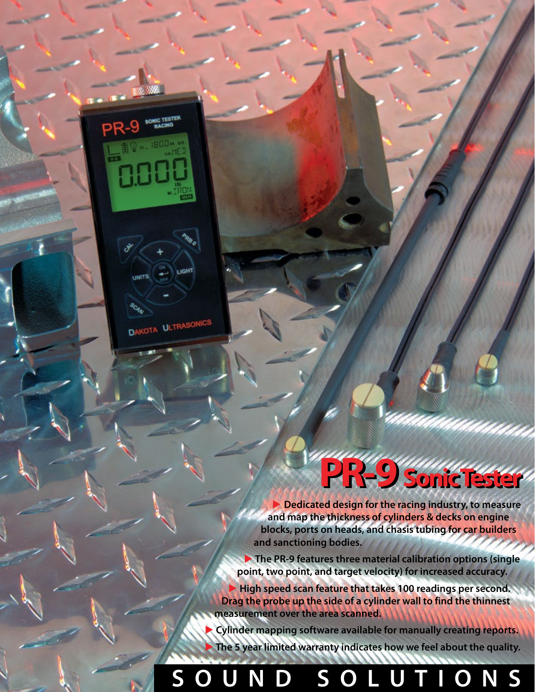# **PR-9 Sonic Tester**

▶ **Dedicated design for the racing industry, to measure and map the thickness of cylinders & decks on engine blocks, ports on heads, and chasis tubing for car builders and sanctioning bodies.**

▶ **The PR-9 features three material calibration options (single point, two point, and target velocity) for increased accuracy.**

▶ **High speed scan feature that takes 100 readings per second. Drag the probe up the side of a cylinder wall to find the thinnest measurement over the area scanned.**

**Cylinder mapping software available for manually creating reports.** The 5 year limited warranty indicates how we feel about the quality.

## **S O U N D S O L U T I O N S**

LIGHT

**UNITS** 

DAKOTA ULTRASO